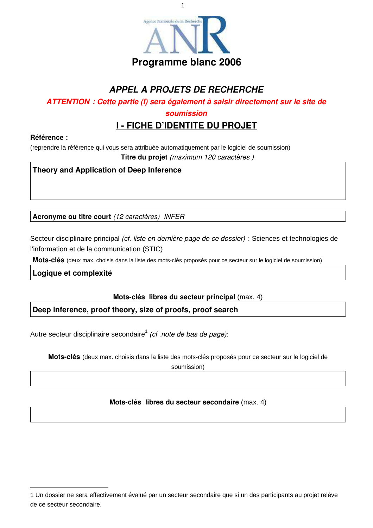

1

# *APPEL A PROJETS DE RECHERCHE*

*ATTENTION : Cette partie (I) sera également à saisir directement sur le site de*

*soumission*

# **I - FICHE D'IDENTITE DU PROJET**

#### **Référence :**

(reprendre la référence qui vous sera attribuée automatiquement par le logiciel de soumission)

**Titre du projet** *(maximum 120 caractères )*

## **Theory and Application of Deep Inference**

**Acronyme ou titre court** *(12 caractères) INFER*

Secteur disciplinaire principal *(cf. liste en dernière page de ce dossier)* : Sciences et technologies de l'information et de la communication (STIC)

**Mots-clés** (deux max. choisis dans la liste des mots-clés proposés pour ce secteur sur le logiciel de soumission)

**Logique et complexité**

**Mots-clés libres du secteur principal** (max. 4)

**Deep inference, proof theory, size of proofs, proof search**

Autre secteur disciplinaire secondaire 1 *(cf .note de bas de page)*:

**Mots-clés** (deux max. choisis dans la liste des mots-clés proposés pour ce secteur sur le logiciel de

soumission)

#### **Mots-clés libres du secteur secondaire** (max. 4)

<sup>1</sup> Un dossier ne sera effectivement évalué par un secteur secondaire que si un des participants au projet relève de ce secteur secondaire.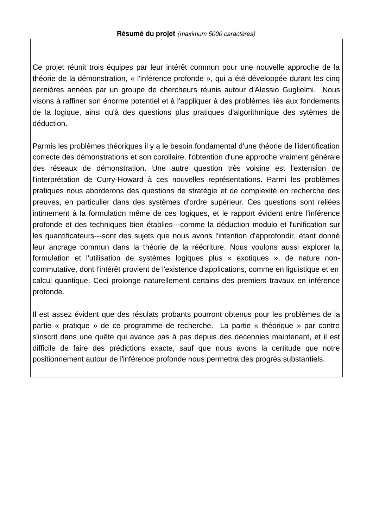Ce projet réunit trois équipes par leur intérêt commun pour une nouvelle approche de la théorie de la démonstration, « l'inférence profonde », qui a été développée durant les cinq dernières années par un groupe de chercheurs réunis autour d'Alessio Guglielmi. Nous visons à raffiner son énorme potentiel et à l'appliquer à des problèmes liés aux fondements de la logique, ainsi qu'à des questions plus pratiques d'algorithmique des sytèmes de déduction.

Parmis les problèmes théoriques il y a le besoin fondamental d'une théorie de l'identification correcte des démonstrations et son corollaire, l'obtention d'une approche vraiment générale des réseaux de démonstration. Une autre question très voisine est l'extension de l'interprétation de Curry-Howard à ces nouvelles représentations. Parmi les problèmes pratiques nous aborderons des questions de stratégie et de complexité en recherche des preuves, en particulier dans des systèmes d'ordre supérieur. Ces questions sont reliées intimement à la formulation même de ces logiques, et le rapport évident entre l'inférence profonde et des techniques bien établies---comme la déduction modulo et l'unification sur les quantificateurs---sont des sujets que nous avons l'intention d'approfondir, étant donné leur ancrage commun dans la théorie de la réécriture. Nous voulons aussi explorer la formulation et l'utilisation de systèmes logiques plus « exotiques », de nature noncommutative, dont l'intérêt provient de l'existence d'applications, comme en liguistique et en calcul quantique. Ceci prolonge naturellement certains des premiers travaux en inférence profonde.

Il est assez évident que des résulats probants pourront obtenus pour les problèmes de la partie « pratique » de ce programme de recherche. La partie « théorique » par contre s'inscrit dans une quête qui avance pas à pas depuis des décennies maintenant, et il est difficile de faire des prédictions exacte, sauf que nous avons la certitude que notre positionnement autour de l'inférence profonde nous permettra des progrès substantiels.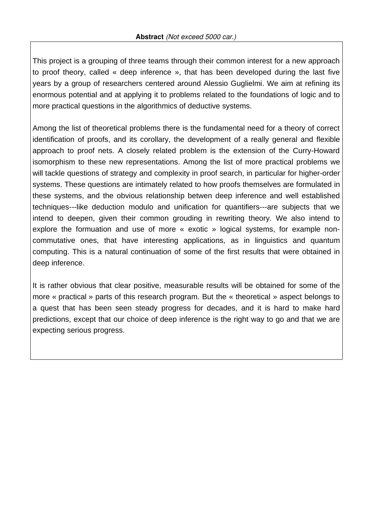This project is a grouping of three teams through their common interest for a new approach to proof theory, called « deep inference », that has been developed during the last five years by a group of researchers centered around Alessio Guglielmi. We aim at refining its enormous potential and at applying it to problems related to the foundations of logic and to more practical questions in the algorithmics of deductive systems.

Among the list of theoretical problems there is the fundamental need for a theory of correct identification of proofs, and its corollary, the development of a really general and flexible approach to proof nets. A closely related problem is the extension of the Curry-Howard isomorphism to these new representations. Among the list of more practical problems we will tackle questions of strategy and complexity in proof search, in particular for higher-order systems. These questions are intimately related to how proofs themselves are formulated in these systems, and the obvious relationship betwen deep inference and well established techniques---like deduction modulo and unification for quantifiers---are subjects that we intend to deepen, given their common grouding in rewriting theory. We also intend to explore the formuation and use of more « exotic » logical systems, for example noncommutative ones, that have interesting applications, as in linguistics and quantum computing. This is a natural continuation of some of the first results that were obtained in deep inference.

It is rather obvious that clear positive, measurable results will be obtained for some of the more « practical » parts of this research program. But the « theoretical » aspect belongs to a quest that has been seen steady progress for decades, and it is hard to make hard predictions, except that our choice of deep inference is the right way to go and that we are expecting serious progress.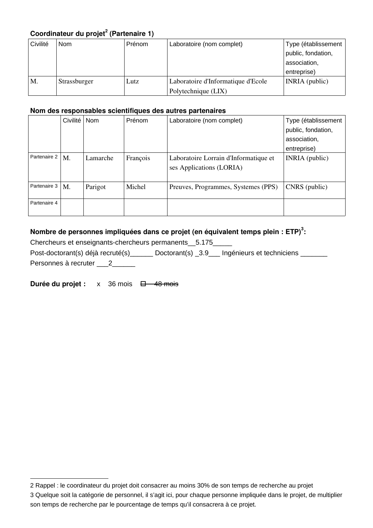# **Coordinateur du projet 2 (Partenaire 1)**

| Civilité | <b>Nom</b>   | Prénom | Laboratoire (nom complet)          | Type (établissement<br>public, fondation,<br>association,<br>entreprise) |
|----------|--------------|--------|------------------------------------|--------------------------------------------------------------------------|
| M.       | Strassburger | Lutz   | Laboratoire d'Informatique d'Ecole | INRIA (public)                                                           |
|          |              |        | Polytechnique (LIX)                |                                                                          |

#### **Nom des responsables scientifiques des autres partenaires**

|              | Civilité | Nom      | Prénom   | Laboratoire (nom complet)                                         | Type (établissement<br>public, fondation,<br>association,<br>entreprise) |
|--------------|----------|----------|----------|-------------------------------------------------------------------|--------------------------------------------------------------------------|
| Partenaire 2 | M.       | Lamarche | François | Laboratoire Lorrain d'Informatique et<br>ses Applications (LORIA) | INRIA (public)                                                           |
| Partenaire 3 | M.       | Parigot  | Michel   | Preuves, Programmes, Systemes (PPS)                               | CNRS (public)                                                            |
| Partenaire 4 |          |          |          |                                                                   |                                                                          |

## **Nombre de personnes impliquées dans ce projet (en équivalent temps plein : ETP) 3 :**

Chercheurs et enseignants-chercheurs permanents\_\_5.175\_\_\_\_\_

Post-doctorant(s) déjà recruté(s)\_\_\_\_\_\_ Doctorant(s) \_3.9\_\_\_ Ingénieurs et techniciens \_\_\_\_\_\_ Personnes à recruter \_\_\_\_\_\_\_\_\_

**Durée du projet :**  $x = 36$  mois  $\overline{\Box}$  48 mois

<sup>2</sup> Rappel : le coordinateur du projet doit consacrer au moins 30% de son temps de recherche au projet

<sup>3</sup> Quelque soit la catégorie de personnel, il s'agit ici, pour chaque personne impliquée dans le projet, de multiplier son temps de recherche par le pourcentage de temps qu'il consacrera à ce projet.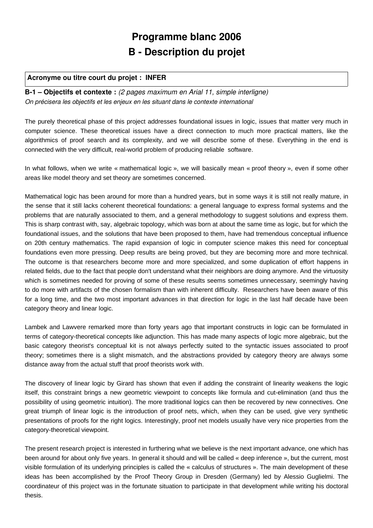# **Programme blanc 2006 B - Description du projet**

#### **Acronyme ou titre court du projet : INFER**

**B-1 – Objectifs et contexte :** *(2 pages maximum en Arial 11, simple interligne) On précisera les objectifs et les enjeux en les situant dans le contexte international*

The purely theoretical phase of this project addresses foundational issues in logic, issues that matter very much in computer science. These theoretical issues have a direct connection to much more practical matters, like the algorithmics of proof search and its complexity, and we will describe some of these. Everything in the end is connected with the very difficult, real-world problem of producing reliable software.

In what follows, when we write « mathematical logic », we will basically mean « proof theory », even if some other areas like model theory and set theory are sometimes concerned.

Mathematical logic has been around for more than a hundred years, but in some ways it is still not really mature, in the sense that it still lacks coherent theoretical foundations: a general language to express formal systems and the problems that are naturally associated to them, and a general methodology to suggest solutions and express them. This is sharp contrast with, say, algebraic topology, which was born at about the same time as logic, but for which the foundational issues, and the solutions that have been proposed to them, have had tremendous conceptual influence on 20th century mathematics. The rapid expansion of logic in computer science makes this need for conceptual foundations even more pressing. Deep results are being proved, but they are becoming more and more technical. The outcome is that researchers become more and more specialized, and some duplication of effort happens in related fields, due to the fact that people don't understand what their neighbors are doing anymore. And the virtuosity which is sometimes needed for proving of some of these results seems sometimes unnecessary, seemingly having to do more with artifacts of the chosen formalism than with inherent difficulty. Researchers have been aware of this for a long time, and the two most important advances in that direction for logic in the last half decade have been category theory and linear logic.

Lambek and Lawvere remarked more than forty years ago that important constructs in logic can be formulated in terms of category-theoretical concepts like adjunction. This has made many aspects of logic more algebraic, but the basic category theorist's conceptual kit is not always perfectly suited to the syntactic issues associated to proof theory; sometimes there is a slight mismatch, and the abstractions provided by category theory are always some distance away from the actual stuff that proof theorists work with.

The discovery of linear logic by Girard has shown that even if adding the constraint of linearity weakens the logic itself, this constraint brings a new geometric viewpoint to concepts like formula and cut-elimination (and thus the possibility of using geometric intuition). The more traditional logics can then be recovered by new connectives. One great triumph of linear logic is the introduction of proof nets, which, when they can be used, give very synthetic presentations of proofs for the right logics. Interestingly, proof net models usually have very nice properties from the category-theoretical viewpoint.

The present research project is interested in furthering what we believe is the next important advance, one which has been around for about only five years. In general it should and will be called « deep inference », but the current, most visible formulation of its underlying principles is called the « calculus of structures ». The main development of these ideas has been accomplished by the Proof Theory Group in Dresden (Germany) led by Alessio Guglielmi. The coordinateur of this project was in the fortunate situation to participate in that development while writing his doctoral thesis.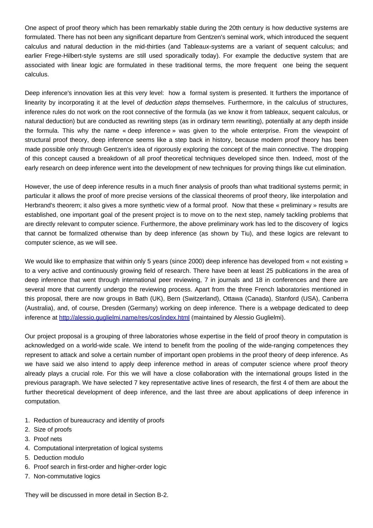One aspect of proof theory which has been remarkably stable during the 20th century is how deductive systems are formulated. There has not been any significant departure from Gentzen's seminal work, which introduced the sequent calculus and natural deduction in the mid-thirties (and Tableaux-systems are a variant of sequent calculus; and earlier Frege-Hilbert-style systems are still used sporadically today). For example the deductive system that are associated with linear logic are formulated in these traditional terms, the more frequent one being the sequent calculus.

Deep inference's innovation lies at this very level: how a formal system is presented. It furthers the importance of linearity by incorporating it at the level of *deduction steps* themselves. Furthermore, in the calculus of structures, inference rules do not work on the root connective of the formula (as we know it from tableaux, sequent calculus, or natural deduction) but are conducted as rewriting steps (as in ordinary term rewriting), potentially at any depth inside the formula. This why the name « deep inference » was given to the whole enterprise. From the viewpoint of structural proof theory, deep inference seems like a step back in history, because modern proof theory has been made possible only through Gentzen's idea of rigorously exploring the concept of the main connective. The dropping of this concept caused a breakdown of all proof theoretical techniques developed since then. Indeed, most of the early research on deep inference went into the development of new techniques for proving things like cut elimination.

However, the use of deep inference results in a much finer analysis of proofs than what traditional systems permit; in particular it allows the proof of more precise versions of the classical theorems of proof theory, like interpolation and Herbrand's theorem; it also gives a more synthetic view of a formal proof. Now that these « preliminary » results are established, one important goal of the present project is to move on to the next step, namely tackling problems that are directly relevant to computer science. Furthermore, the above preliminary work has led to the discovery of logics that cannot be formalized otherwise than by deep inference (as shown by Tiu), and these logics are relevant to computer science, as we will see.

We would like to emphasize that within only 5 years (since 2000) deep inference has developed from « not existing » to a very active and continuously growing field of research. There have been at least 25 publications in the area of deep inference that went through international peer reviewing, 7 in journals and 18 in conferences and there are several more that currently undergo the reviewing process. Apart from the three French laboratories mentioned in this proposal, there are now groups in Bath (UK), Bern (Switzerland), Ottawa (Canada), Stanford (USA), Canberra (Australia), and, of course, Dresden (Germany) working on deep inference. There is a webpage dedicated to deep inference at http://alessio.guglielmi.name/res/cos/index.html (maintained by Alessio Guglielmi).

Our project proposal is a grouping of three laboratories whose expertise in the field of proof theory in computation is acknowledged on a world-wide scale. We intend to benefit from the pooling of the wide-ranging competences they represent to attack and solve a certain number of important open problems in the proof theory of deep inference. As we have said we also intend to apply deep inference method in areas of computer science where proof theory already plays a crucial role. For this we will have a close collaboration with the international groups listed in the previous paragraph. We have selected 7 key representative active lines of research, the first 4 of them are about the further theoretical development of deep inference, and the last three are about applications of deep inference in computation.

- 1. Reduction of bureaucracy and identity of proofs
- 2. Size of proofs
- 3. Proof nets
- 4. Computational interpretation of logical systems
- 5. Deduction modulo
- 6. Proof search in first-order and higher-order logic
- 7. Non-commutative logics

They will be discussed in more detail in Section B-2.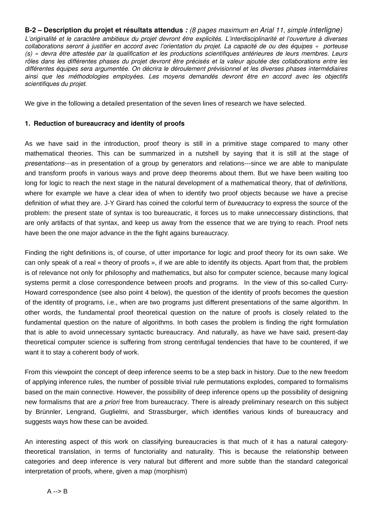B-2 – Description du projet et résultats attendus : (8 pages maximum en Arial 11, simple interligne) L'originalité et le caractère ambitieux du projet devront être explicités. L'interdisciplinarité et l'ouverture à diverses collaborations seront à justifier en accord avec l'orientation du projet. La capacité de ou des équipes « porteuse (s) » devra être attestée par la qualification et les productions scientifiques antérieures de leurs membres. Leurs rôles dans les différentes phases du projet devront être précisés et la valeur ajoutée des collaborations entre les différentes équipes sera argumentée. On décrira le déroulement prévisionnel et les diverses phases intermédiaires ainsi que les méthodologies employées. Les moyens demandés devront être en accord avec les objectifs *scientifiques du projet.*

We give in the following a detailed presentation of the seven lines of research we have selected.

#### **1. Reduction of bureaucracy and identity of proofs**

As we have said in the introduction, proof theory is still in a primitive stage compared to many other mathematical theories. This can be summarized in a nutshell by saying that it is still at the stage of *presentations---*as in presentation of a group by generators and relations---since we are able to manipulate and transform proofs in various ways and prove deep theorems about them. But we have been waiting too long for logic to reach the next stage in the natural development of a mathematical theory, that of *definitions,* where for example we have a clear idea of when to identify two proof objects because we have a precise definition of what they are. J-Y Girard has coined the colorful term of *bureaucracy* to express the source of the problem: the present state of syntax is too bureaucratic, it forces us to make unneccessary distinctions, that are only artifacts of that syntax, and keep us away from the essence that we are trying to reach. Proof nets have been the one major advance in the the fight agains bureaucracy.

Finding the right definitions is, of course, of utter importance for logic and proof theory for its own sake. We can only speak of a real « theory of proofs », if we are able to identify its objects. Apart from that, the problem is of relevance not only for philosophy and mathematics, but also for computer science, because many logical systems permit a close correspondence between proofs and programs. In the view of this so-called Curry-Howard correspondence (see also point 4 below), the question of the identity of proofs becomes the question of the identity of programs, i.e., when are two programs just different presentations of the same algorithm. In other words, the fundamental proof theoretical question on the nature of proofs is closely related to the fundamental question on the nature of algorithms. In both cases the problem is finding the right formulation that is able to avoid unnecessary syntactic bureaucracy. And naturally, as have we have said, present-day theoretical computer science is suffering from strong centrifugal tendencies that have to be countered, if we want it to stay a coherent body of work.

From this viewpoint the concept of deep inference seems to be a step back in history. Due to the new freedom of applying inference rules, the number of possible trivial rule permutations explodes, compared to formalisms based on the main connective. However, the possibility of deep inference opens up the possibility of designing new formalisms that are *a priori* free from bureaucracy. There is already preliminary research on this subject by Brünnler, Lengrand, Guglielmi, and Strassburger, which identifies various kinds of bureaucracy and suggests ways how these can be avoided.

An interesting aspect of this work on classifying bureaucracies is that much of it has a natural categorytheoretical translation, in terms of functoriality and naturality. This is because the relationship between categories and deep inference is very natural but different and more subtle than the standard categorical interpretation of proofs, where, given a map (morphism)

 $A \rightarrow B$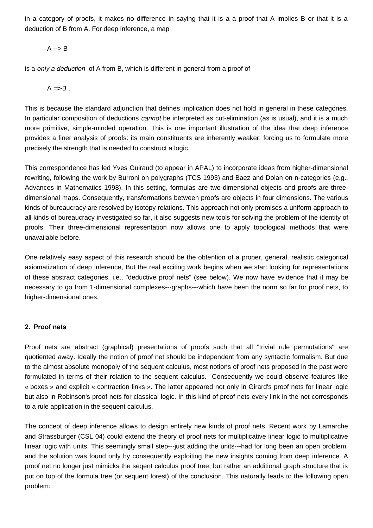in a category of proofs, it makes no difference in saying that it is a a proof that A implies B or that it is a deduction of B from A. For deep inference, a map

#### $A \rightarrow B$

is a *only a deduction* of A from B, which is different in general from a proof of

 $A \Rightarrow B$ .

This is because the standard adjunction that defines implication does not hold in general in these categories. In particular composition of deductions *cannot* be interpreted as cut-elimination (as is usual), and it is a much more primitive, simple-minded operation. This is one important illustration of the idea that deep inference provides a finer analysis of proofs: its main constituents are inherently weaker, forcing us to formulate more precisely the strength that is needed to construct a logic.

This correspondence has led Yves Guiraud (to appear in APAL) to incorporate ideas from higher-dimensional rewriting, following the work by Burroni on polygraphs (TCS 1993) and Baez and Dolan on n-categories (e.g., Advances in Mathematics 1998). In this setting, formulas are two-dimensional objects and proofs are threedimensional maps. Consequently, transformations between proofs are objects in four dimensions. The various kinds of bureaucracy are resolved by isotopy relations. This approach not only promises a uniform approach to all kinds of bureaucracy investigated so far, it also suggests new tools for solving the problem of the identity of proofs. Their three-dimensional representation now allows one to apply topological methods that were unavailable before.

One relatively easy aspect of this research should be the obtention of a proper, general, realistic categorical axiomatization of deep inference, But the real exciting work begins when we start looking for representations of these abstract categories, i.e., "deductive proof nets" (see below). We now have evidence that it may be necessary to go from 1-dimensional complexes---graphs---which have been the norm so far for proof nets, to higher-dimensional ones.

#### **2. Proof nets**

Proof nets are abstract (graphical) presentations of proofs such that all "trivial rule permutations" are quotiented away. Ideally the notion of proof net should be independent from any syntactic formalism. But due to the almost absolute monopoly of the sequent calculus, most notions of proof nets proposed in the past were formulated in terms of their relation to the sequent calculus. Consequently we could observe features like « boxes » and explicit « contraction links ». The latter appeared not only in Girard's proof nets for linear logic but also in Robinson's proof nets for classical logic. In this kind of proof nets every link in the net corresponds to a rule application in the sequent calculus.

The concept of deep inference allows to design entirely new kinds of proof nets. Recent work by Lamarche and Strassburger (CSL 04) could extend the theory of proof nets for multiplicative linear logic to multiplicative linear logic with units. This seemingly small step---just adding the units---had for long been an open problem, and the solution was found only by consequently exploiting the new insights coming from deep inference. A proof net no longer just mimicks the seqent calculus proof tree, but rather an additional graph structure that is put on top of the formula tree (or sequent forest) of the conclusion. This naturally leads to the following open problem: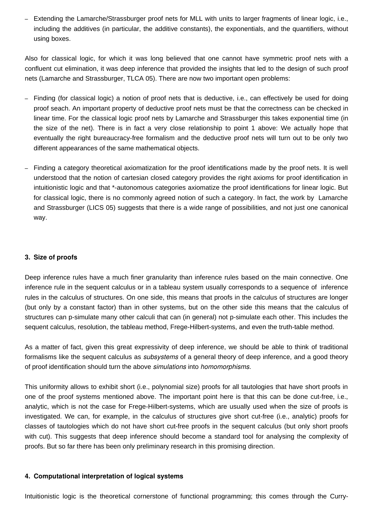- Extending the Lamarche/Strassburger proof nets for MLL with units to larger fragments of linear logic, i.e., including the additives (in particular, the additive constants), the exponentials, and the quantifiers, without using boxes.

Also for classical logic, for which it was long believed that one cannot have symmetric proof nets with a confluent cut elimination, it was deep inference that provided the insights that led to the design of such proof nets (Lamarche and Strassburger, TLCA 05). There are now two important open problems:

- - Finding (for classical logic) a notion of proof nets that is deductive, i.e., can effectively be used for doing proof seach. An important property of deductive proof nets must be that the correctness can be checked in linear time. For the classical logic proof nets by Lamarche and Strassburger this takes exponential time (in the size of the net). There is in fact a very close relationship to point 1 above: We actually hope that eventually the right bureaucracy-free formalism and the deductive proof nets will turn out to be only two different appearances of the same mathematical objects.
- Finding a category theoretical axiomatization for the proof identifications made by the proof nets. It is well understood that the notion of cartesian closed category provides the right axioms for proof identification in intuitionistic logic and that \*-autonomous categories axiomatize the proof identifications for linear logic. But for classical logic, there is no commonly agreed notion of such a category. In fact, the work by Lamarche and Strassburger (LICS 05) suggests that there is a wide range of possibilities, and not just one canonical way.

#### **3. Size of proofs**

Deep inference rules have a much finer granularity than inference rules based on the main connective. One inference rule in the sequent calculus or in a tableau system usually corresponds to a sequence of inference rules in the calculus of structures. On one side, this means that proofs in the calculus of structures are longer (but only by a constant factor) than in other systems, but on the other side this means that the calculus of structures can p-simulate many other calculi that can (in general) not p-simulate each other. This includes the sequent calculus, resolution, the tableau method, Frege-Hilbert-systems, and even the truth-table method.

As a matter of fact, given this great expressivity of deep inference, we should be able to think of traditional formalisms like the sequent calculus as *subsystems* of a general theory of deep inference, and a good theory of proof identification should turn the above *simulations* into *homomorphisms*.

This uniformity allows to exhibit short (i.e., polynomial size) proofs for all tautologies that have short proofs in one of the proof systems mentioned above. The important point here is that this can be done cut-free, i.e., analytic, which is not the case for Frege-Hilbert-systems, which are usually used when the size of proofs is investigated. We can, for example, in the calculus of structures give short cut-free (i.e., analytic) proofs for classes of tautologies which do not have short cut-free proofs in the sequent calculus (but only short proofs with cut). This suggests that deep inference should become a standard tool for analysing the complexity of proofs. But so far there has been only preliminary research in this promising direction.

#### **4. Computational interpretation of logical systems**

Intuitionistic logic is the theoretical cornerstone of functional programming; this comes through the Curry-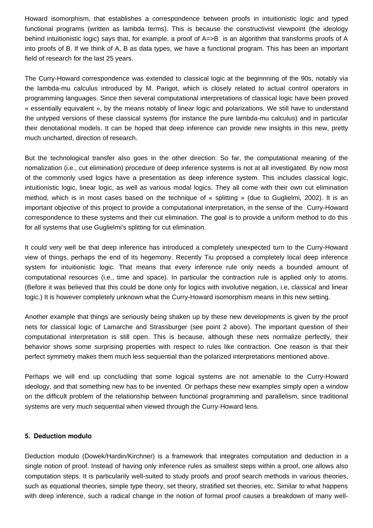Howard isomorphism, that establishes a correspondence between proofs in intuitionistic logic and typed functional programs (written as lambda terms). This is because the constructivist viewpoint (the ideology behind intuitionistic logic) says that, for example, a proof of A=>B is an algorithm that transforms proofs of A into proofs of B. If we think of A, B as data types, we have a functional program. This has been an important field of research for the last 25 years.

The Curry-Howard correspondence was extended to classical logic at the beginnning of the 90s, notably via the lambda-mu calculus introduced by M. Parigot, which is closely related to actual control operators in programming languages. Since then several computational interpretations of classical logic have been proved « essentially equivalent », by the means notably of linear logic and polarizations. We still have to understand the untyped versions of these classical systems (for instance the pure lambda-mu calculus) and in particular their denotational models. It can be hoped that deep inference can provide new insights in this new, pretty much uncharted, direction of research.

But the technological transfer also goes in the other direction: So far, the computational meaning of the nomalization (i.e., cut elimination) procedure of deep inference systems is not at all investigated. By now most of the commonly used logics have a presentation as deep inference system. This includes classical logic, intuitionistic logic, linear logic, as well as various modal logics. They all come with their own cut elimination method, which is in most cases based on the technique of « splitting » (due to Guglielmi, 2002). It is an important objective of this project to provide a computational interpretation, in the sense of the Curry-Howard correspondence to these systems and their cut elimination. The goal is to provide a uniform method to do this for all systems that use Guglielmi's splitting for cut elimination.

It could very well be that deep inference has introduced a completely unexpected turn to the Curry-Howard view of things, perhaps the end of its hegemony. Recently Tiu proposed a completely local deep inference system for intuitionistic logic. That means that every inference rule only needs a bounded amount of computational resources (i.e., time and space). In particular the contraction rule is applied only to atoms. (Before it was believed that this could be done only for logics with involutive negation, i.e, classical and linear logic.) It is however completely unknown what the Curry-Howard isomorphism means in this new setting.

Another example that things are seriously being shaken up by these new developments is given by the proof nets for classical logic of Lamarche and Strassburger (see point 2 above). The important question of their computational interpretation is still open. This is because, although these nets normalize perfectly, their behavior shows some surprising properties with respect to rules like contraction. One reason is that their perfect symmetry makes them much less sequential than the polarized interpretations mentioned above.

Perhaps we will end up concludiing that some logical systems are not amenable to the Curry-Howard ideology, and that something new has to be invented. Or perhaps these new examples simply open a window on the difficult problem of the relationship between functional programming and parallelism, since traditional systems are very much sequential when viewed through the Curry-Howard lens.

#### **5. Deduction modulo**

Deduction modulo (Dowek/Hardin/Kirchner) is a framework that integrates computation and deduction in a single notion of proof. Instead of having only inference rules as smallest steps within a proof, one allows also computation steps. It is particularily well-suited to study proofs and proof search methods in various theories, such as equational theories, simple type theory, set theory, stratified set theories, etc. Similar to what happens with deep inference, such a radical change in the notion of formal proof causes a breakdown of many well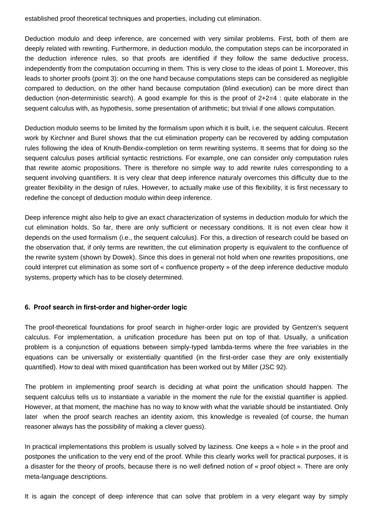established proof theoretical techniques and properties, including cut elimination.

Deduction modulo and deep inference, are concerned with very similar problems. First, both of them are deeply related with rewriting. Furthermore, in deduction modulo, the computation steps can be incorporated in the deduction inference rules, so that proofs are identified if they follow the same deductive process, independently from the computation occurring in them. This is very close to the ideas of point 1. Moreover, this leads to shorter proofs (point 3): on the one hand because computations steps can be considered as negligible compared to deduction, on the other hand because computation (blind execution) can be more direct than deduction (non-deterministic search). A good example for this is the proof of 2+2=4 : quite elaborate in the sequent calculus with, as hypothesis, some presentation of arithmetic; but trivial if one allows computation.

Deduction modulo seems to be limited by the formalism upon which it is built, i.e. the sequent calculus. Recent work by Kirchner and Burel shows that the cut elimination property can be recovered by adding computation rules following the idea of Knuth-Bendix-completion on term rewriting systems. It seems that for doing so the sequent calculus poses artificial syntactic restrictions. For example, one can consider only computation rules that rewrite atomic propositions. There is therefore no simple way to add rewrite rules corresponding to a sequent involving quantifiers. It is very clear that deep inference naturaly overcomes this difficulty due to the greater flexibility in the design of rules. However, to actually make use of this flexibility, it is first necessary to redefine the concept of deduction modulo within deep inference.

Deep inference might also help to give an exact characterization of systems in deduction modulo for which the cut elimination holds. So far, there are only sufficient or necessary conditions. It is not even clear how it depends on the used formalism (i.e., the sequent calculus). For this, a direction of research could be based on the observation that, if only terms are rewritten, the cut elimination property is equivalent to the confluence of the rewrite system (shown by Dowek). Since this does in general not hold when one rewrites propositions, one could interpret cut elimination as some sort of « confluence property » of the deep inference deductive modulo systems, property which has to be closely determined.

#### **6. Proof search in first-order and higher-order logic**

The proof-theoretical foundations for proof search in higher-order logic are provided by Gentzen's sequent calculus. For implementation, a unification procedure has been put on top of that. Usually, a unification problem is a conjunction of equations between simply-typed lambda-terms where the free variables in the equations can be universally or existentially quantified (in the first-order case they are only existentially quantified). How to deal with mixed quantification has been worked out by Miller (JSC 92).

The problem in implementing proof search is deciding at what point the unification should happen. The sequent calculus tells us to instantiate a variable in the moment the rule for the existial quantifier is applied. However, at that moment, the machine has no way to know with what the variable should be instantiated. Only later when the proof search reaches an identity axiom, this knowledge is revealed (of course, the human reasoner always has the possibility of making a clever guess).

In practical implementations this problem is usually solved by laziness. One keeps a « hole » in the proof and postpones the unification to the very end of the proof. While this clearly works well for practical purposes, it is a disaster for the theory of proofs, because there is no well defined notion of « proof object ». There are only meta-language descriptions.

It is again the concept of deep inference that can solve that problem in a very elegant way by simply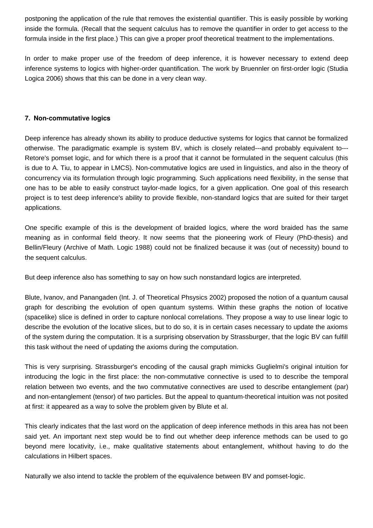postponing the application of the rule that removes the existential quantifier. This is easily possible by working inside the formula. (Recall that the sequent calculus has to remove the quantifier in order to get access to the formula inside in the first place.) This can give a proper proof theoretical treatment to the implementations.

In order to make proper use of the freedom of deep inference, it is however necessary to extend deep inference systems to logics with higher-order quantification. The work by Bruennler on first-order logic (Studia Logica 2006) shows that this can be done in a very clean way.

#### **7. Non-commutative logics**

Deep inference has already shown its ability to produce deductive systems for logics that cannot be formalized otherwise. The paradigmatic example is system BV, which is closely related---and probably equivalent to--- Retore's pomset logic, and for which there is a proof that it cannot be formulated in the sequent calculus (this is due to A. Tiu, to appear in LMCS). Non-commutative logics are used in linguistics, and also in the theory of concurrency via its formulation through logic programming. Such applications need flexibility, in the sense that one has to be able to easily construct taylor-made logics, for a given application. One goal of this research project is to test deep inference's ability to provide flexible, non-standard logics that are suited for their target applications.

One specific example of this is the development of braided logics, where the word braided has the same meaning as in conformal field theory. It now seems that the pioneering work of Fleury (PhD-thesis) and Bellin/Fleury (Archive of Math. Logic 1988) could not be finalized because it was (out of necessity) bound to the sequent calculus.

But deep inference also has something to say on how such nonstandard logics are interpreted.

Blute, Ivanov, and Panangaden (Int. J. of Theoretical Phsysics 2002) proposed the notion of a quantum causal graph for describing the evolution of open quantum systems. Within these graphs the notion of locative (spacelike) slice is defined in order to capture nonlocal correlations. They propose a way to use linear logic to describe the evolution of the locative slices, but to do so, it is in certain cases necessary to update the axioms of the system during the computation. It is a surprising observation by Strassburger, that the logic BV can fulfill this task without the need of updating the axioms during the computation.

This is very surprising. Strassburger's encoding of the causal graph mimicks Guglielmi's original intuition for introducing the logic in the first place: the non-commutative connective is used to to describe the temporal relation between two events, and the two commutative connectives are used to describe entanglement (par) and non-entanglement (tensor) of two particles. But the appeal to quantum-theoretical intuition was not posited at first: it appeared as a way to solve the problem given by Blute et al.

This clearly indicates that the last word on the application of deep inference methods in this area has not been said yet. An important next step would be to find out whether deep inference methods can be used to go beyond mere locativity, i.e., make qualitative statements about entanglement, whithout having to do the calculations in Hilbert spaces.

Naturally we also intend to tackle the problem of the equivalence between BV and pomset-logic.